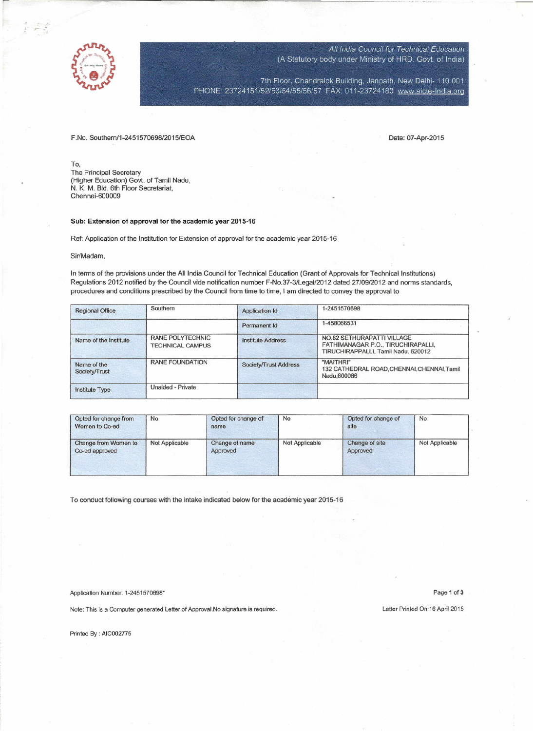

*AI/India Council for Technical Education* (A Statutory body under Ministry of HRD, *Govt.* of India)

7th Floor, Chandralok Building, Janpath, New Delhi- 110 001 PHONE: 23724151/52/53/54/55/56/57 FAX: 011-23724183 www.aicte-India.org

F.No. Southem/1-2451570698/2015/EOA Date: 07-Apr-2015

To, The Principal Secretary (Higher Education) Govt. of Tamil Nadu, N. K. M. Bid. 6th Floor Secretariat, Chennai-600009

## Sub: **Extension of approval for the academic year 2015-16**

Ref: Application of the Institution for Extension of approval for the academic year 2015-16

Sir/Madam,

In terms of the provisions under the All India Council for Technical Education (Grant of Approvals for Technical Institutions) Regulations 2012 notified by the Council vide notification number F-No.37-3/LegaI/2012 dated 27/09/2012 and norms standards, procedures and conditions prescribed by the Council from time to time, I am directed to convey the approval to

| <b>Regional Office</b>       | Southern                                           | Application Id           | 1-2451570698                                                                                            |  |  |  |
|------------------------------|----------------------------------------------------|--------------------------|---------------------------------------------------------------------------------------------------------|--|--|--|
|                              |                                                    | Permanent Id             | 1-458066531                                                                                             |  |  |  |
| Name of the Institute        | <b>RANE POLYTECHNIC</b><br><b>TECHNICAL CAMPUS</b> | <b>Institute Address</b> | NO.82 SETHURAPATTI VILLAGE<br>FATHIMANAGAR P.O., TIRUCHIRAPALLI,<br>TIRUCHIRAPPALLI, Tamil Nadu, 620012 |  |  |  |
| Name of the<br>Society/Trust | <b>RANE FOUNDATION</b>                             | Society/Trust Address    | "MAITHRI"<br>132 CATHEDRAL ROAD, CHENNAI, CHENNAI, Tamil<br>Nadu, 600086                                |  |  |  |
| <b>Institute Type</b>        | <b>Unaided - Private</b>                           |                          |                                                                                                         |  |  |  |

| Opted for change from<br>Women to Co-ed | No             | Opted for change of<br>name | No             | Opted for change of<br>site | No             |
|-----------------------------------------|----------------|-----------------------------|----------------|-----------------------------|----------------|
| Change from Women to<br>Co-ed approved  | Not Applicable | Change of name<br>Approved  | Not Applicable | Change of site<br>Approved  | Not Applicable |

To conduct following courses with the intake indicated below for the academic year 2015-16

Application Number: 1-2451570698\* Page 1 of 3

Note: This is a Computer generated Letter of Approval.No signature is required. Letter Printed On:16 April 2015

Printed By : AIC002775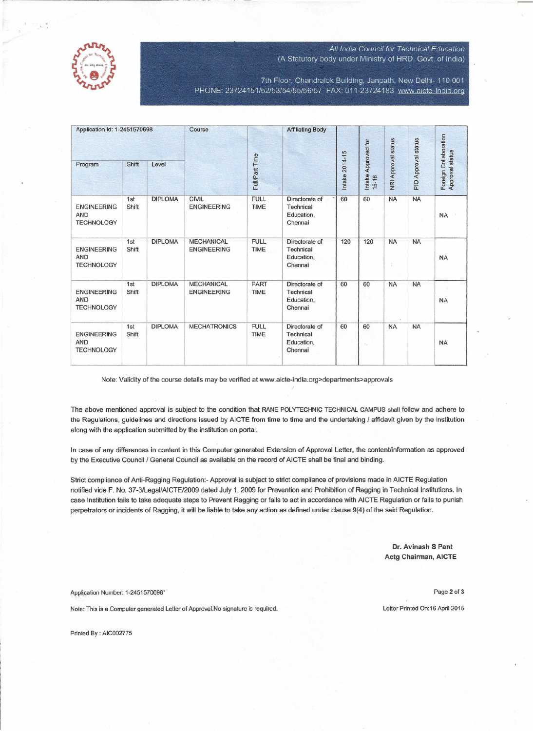

## *All India Council for Technical Education* (A Statutory body under Ministry of HRD. Govt. of India)

7th Floor, Chandralok Building, Janpath, New Delhi- 110 001 PHONE: 23724151/52/53/54/55/56/57 FAX: 011-23724183 www.aicte-India.org

| Application Id: 1-2451570698                          |              | Course         | <b>Affiliating Body</b>                 |                            |                                                             |                |                              |                            |                     |                                          |
|-------------------------------------------------------|--------------|----------------|-----------------------------------------|----------------------------|-------------------------------------------------------------|----------------|------------------------------|----------------------------|---------------------|------------------------------------------|
| Program                                               | Shift        | Level          |                                         | Full/Part Time             |                                                             | Intake 2014-15 | Intake Approved for<br>15-16 | <b>NRI Approval status</b> | PIO Approval status | Foreign Collaboration<br>Approval status |
| <b>ENGINEERING</b><br><b>AND</b><br><b>TECHNOLOGY</b> | 1st<br>Shift | <b>DIPLOMA</b> | <b>CIVIL</b><br><b>ENGINEERING</b>      | <b>FULL</b><br><b>TIME</b> | Directorate of<br><b>Technical</b><br>Education,<br>Chennai | 60             | 60                           | <b>NA</b>                  | <b>NA</b>           | <b>NA</b>                                |
| <b>ENGINEERING</b><br><b>AND</b><br><b>TECHNOLOGY</b> | 1st<br>Shift | <b>DIPLOMA</b> | <b>MECHANICAL</b><br><b>ENGINEERING</b> | <b>FULL</b><br><b>TIME</b> | Directorate of<br>Technical<br>Education,<br>Chennai        | 120            | 120                          | <b>NA</b><br>S.            | <b>NA</b>           | <b>NA</b>                                |
| <b>ENGINEERING</b><br><b>AND</b><br><b>TECHNOLOGY</b> | 1st<br>Shift | <b>DIPLOMA</b> | <b>MECHANICAL</b><br><b>ENGINEERING</b> | PART<br><b>TIME</b>        | Directorate of<br>Technical<br>Education,<br>Chennai        | 60             | 60                           | <b>NA</b>                  | <b>NA</b>           | <b>NA</b>                                |
| <b>ENGINEERING</b><br><b>AND</b><br><b>TECHNOLOGY</b> | 1st<br>Shift | <b>DIPLOMA</b> | <b>MECHATRONICS</b>                     | <b>FULL</b><br>TIME        | Directorate of<br>Technical<br>Education,<br>Chennai        | 60             | 60<br>OG.                    | <b>NA</b>                  | <b>NA</b>           | <b>NA</b>                                |

Note: Validity of the course details may be verified at www.aicte-india.org>departments>approvals

The above mentioned approval is subject to the condition that RANE POLYTECHNIC TECHNICAL CAMPUS shall follow and adhere to the Regulations, guidelines and directions issued by AICTE from time to time and the undertaking / affidavit given by the institution along with the application submitted by the institution on portal.

In case of any differences in content in this Computer generated Extension of Approval Letter, the content/information as approved by the Executive Council / General Council as available on the record of AICTE shall be final and binding.

Strict compliance of Anti-Ragging Regulation:- Approval is subject to strict compliance of provisions made in AICTE Regulation notified vide F. No. 37-3/Legal/AICTE/2009 dated July 1, 2009 for Prevention and Prohibition of Ragging in Technical Institutions. In case Institution fails to take adequate steps to Prevent Ragging or fails to act in accordance with AICTE Regulation or fails to punish perpetrators or incidents of Ragging, it will be liable to take any action as defined under clause 9(4) of the said Regulation.

> **Dr. Avinash S Pant Actg Chairman, AICTE**

Application Number: 1-2451570698\* Page 2 of 3

Note: This is a Computer generated Letter of Approval.No signature is required. Letter Printed On:16 April 2015

Printed By : AIC002775